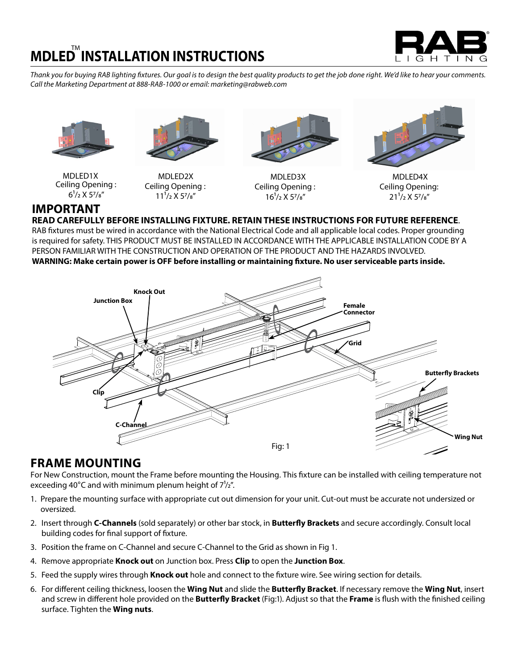

*Thank you for buying RAB lighting fixtures. Our goal is to design the best quality products to get the job done right. We'd like to hear your comments. Call the Marketing Department at 888-RAB-1000 or email: marketing@rabweb.com*





MDLED1X Ceiling Opening :  $6^{1}/2$  X  $5^{7}/8''$ 

MDLED2X Ceiling Opening :  $11^{1}/2$  X 57/ $8''$ 



MDLED3X Ceiling Opening :  $16^{1}/2$  X 57/ $s''$ 



MDLED4X Ceiling Opening:  $21^{1}/2$  X 57/ $8''$ 

# **IMPORTANT**

**READ CAREFULLY BEFORE INSTALLING FIXTURE. RETAIN THESE INSTRUCTIONS FOR FUTURE REFERENCE**.

RAB fixtures must be wired in accordance with the National Electrical Code and all applicable local codes. Proper grounding is required for safety. THIS PRODUCT MUST BE INSTALLED IN ACCORDANCE WITH THE APPLICABLE INSTALLATION CODE BY A PERSON FAMILIAR WITH THE CONSTRUCTION AND OPERATION OF THE PRODUCT AND THE HAZARDS INVOLVED. **WARNING: Make certain power is OFF before installing or maintaining fixture. No user serviceable parts inside.**



### **FRAME MOUNTING**

For New Construction, mount the Frame before mounting the Housing. This fixture can be installed with ceiling temperature not exceeding 40°C and with minimum plenum height of  $7\frac{1}{2}$ ".

- 1. Prepare the mounting surface with appropriate cut out dimension for your unit. Cut-out must be accurate not undersized or oversized.
- 2. Insert through **C-Channels** (sold separately) or other bar stock, in **Butterfly Brackets** and secure accordingly. Consult local building codes for final support of fixture.
- 3. Position the frame on C-Channel and secure C-Channel to the Grid as shown in Fig 1.
- 4. Remove appropriate **Knock out** on Junction box. Press **Clip** to open the **Junction Box**.
- 5. Feed the supply wires through **Knock out** hole and connect to the fixture wire. See wiring section for details.
- 6. For different ceiling thickness, loosen the **Wing Nut** and slide the **Butterfly Bracket**. If necessary remove the **Wing Nut**, insert and screw in different hole provided on the **Butterfly Bracket** (Fig:1). Adjust so that the **Frame** is flush with the finished ceiling surface. Tighten the **Wing nuts**.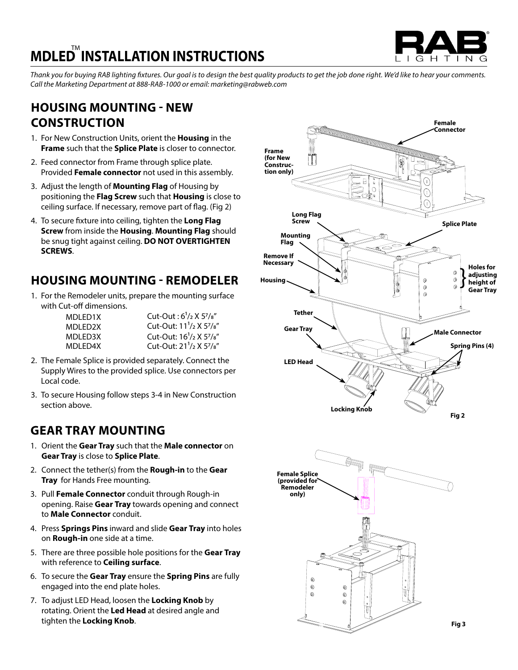

*Thank you for buying RAB lighting fixtures. Our goal is to design the best quality products to get the job done right. We'd like to hear your comments. Call the Marketing Department at 888-RAB-1000 or email: marketing@rabweb.com*

## **HOUSING MOUNTING - NEW CONSTRUCTION**

- 1. For New Construction Units, orient the **Housing** in the **Frame** such that the **Splice Plate** is closer to connector.
- 2. Feed connector from Frame through splice plate. Provided **Female connector** not used in this assembly.
- 3. Adjust the length of **Mounting Flag** of Housing by positioning the **Flag Screw** such that **Housing** is close to ceiling surface. If necessary, remove part of flag. (Fig 2)
- 4. To secure fixture into ceiling, tighten the **Long Flag Screw** from inside the **Housing**. **Mounting Flag** should be snug tight against ceiling. **DO NOT OVERTIGHTEN SCREWS**.

1. For the Remodeler units, prepare the mounting surface with Cut-off dimensions.

| MDI FD1X | Cut-Out: $6^{1}/2$ X $5^{7}/8''$                              |
|----------|---------------------------------------------------------------|
| MDI FD2X | Cut-Out: 11 <sup>1</sup> /2 X 5 <sup>7</sup> / <sub>8</sub> " |
| MDI FD3X | Cut-Out: 16 <sup>1</sup> /2 X 5 <sup>7</sup> / <sub>8</sub> " |
| MDLED4X  | Cut-Out: 21 <sup>1</sup> /2 X 5 <sup>7</sup> / <sub>8</sub> " |

- 2. The Female Splice is provided separately. Connect the Supply Wires to the provided splice. Use connectors per Local code.
- 3. To secure Housing follow steps 3-4 in New Construction section above.

## **GEAR TRAY MOUNTING**

- 1. Orient the **Gear Tray** such that the **Male connector** on **Gear Tray** is close to **Splice Plate**.
- 2. Connect the tether(s) from the **Rough-in** to the **Gear Tray** for Hands Free mounting.
- 3. Pull **Female Connector** conduit through Rough-in opening. Raise **Gear Tray** towards opening and connect to **Male Connector** conduit.
- 4. Press **Springs Pins** inward and slide **Gear Tray** into holes on **Rough-in** one side at a time.
- 5. There are three possible hole positions for the **Gear Tray** with reference to **Ceiling surface**.
- 6. To secure the **Gear Tray** ensure the **Spring Pins** are fully engaged into the end plate holes.
- 7. To adjust LED Head, loosen the **Locking Knob** by rotating. Orient the **Led Head** at desired angle and tighten the **Locking Knob**.

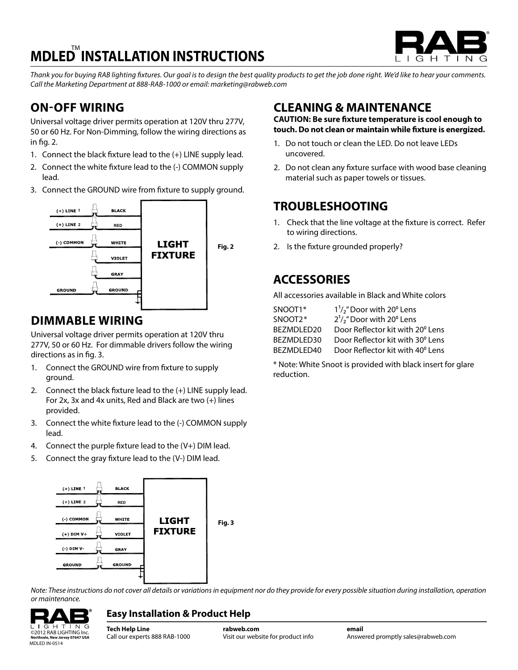

*Thank you for buying RAB lighting fixtures. Our goal is to design the best quality products to get the job done right. We'd like to hear your comments. Call the Marketing Department at 888-RAB-1000 or email: marketing@rabweb.com*

# **ON-OFF WIRING**

Universal voltage driver permits operation at 120V thru 277V, 50 or 60 Hz. For Non-Dimming, follow the wiring directions as in fig. 2.

- 1. Connect the black fixture lead to the (+) LINE supply lead.
- 2. Connect the white fixture lead to the (-) COMMON supply lead.
- 3. Connect the GROUND wire from fixture to supply ground.



## **DIMMABLE WIRING**

Universal voltage driver permits operation at 120V thru 277V, 50 or 60 Hz. For dimmable drivers follow the wiring directions as in fig. 3.

- 1. Connect the GROUND wire from fixture to supply ground.
- 2. Connect the black fixture lead to the (+) LINE supply lead. For 2x, 3x and 4x units, Red and Black are two (+) lines provided.
- 3. Connect the white fixture lead to the (-) COMMON supply lead.
- 4. Connect the purple fixture lead to the  $(V+)$  DIM lead.
- 5. Connect the gray fixture lead to the (V-) DIM lead.



*Note: These instructions do not cover all details or variations in equipment nor do they provide for every possible situation during installation, operation or maintenance.*

#### $IGHTING$ **Northvale, New Jersey 07647 USA** MDLED IN-0514

### **Easy Installation & Product Help**

**Tech Help Line** Call our experts 888 RAB-1000 ©2012 RAB LIGHTING Inc. **rabweb.com** Visit our website for product info

**email** Answered promptly sales@rabweb.com

### **CLEANING & MAINTENANCE**

**CAUTION: Be sure fixture temperature is cool enough to touch. Do not clean or maintain while fixture is energized.**

- 1. Do not touch or clean the LED. Do not leave LEDs uncovered.
- 2. Do not clean any fixture surface with wood base cleaning material such as paper towels or tissues.

## **TROUBLESHOOTING**

- 1. Check that the line voltage at the fixture is correct. Refer to wiring directions.
- 2. Is the fixture grounded properly?

## **ACCESSORIES**

All accessories available in Black and White colors

| SNOOT1*     | $1\frac{1}{2}$ " Door with 20 $\degree$ Lens        |
|-------------|-----------------------------------------------------|
| SNOOT2*     | $2^1$ / <sub>2</sub> " Door with 20 $^{\circ}$ Lens |
| BEZMDLED20  | Door Reflector kit with 20° Lens                    |
| BEZMDLED30  | Door Reflector kit with 30° Lens                    |
| BFZMDI FD40 | Door Reflector kit with 40° Lens                    |
|             |                                                     |

\* Note: White Snoot is provided with black insert for glare reduction.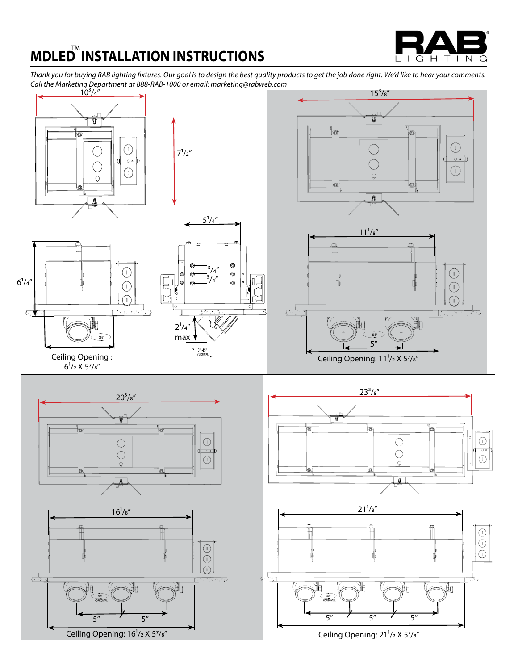G H T  $\overline{N}$  $\mathbf{L}$  $\mathbf{I}$ G

*Thank you for buying RAB lighting fixtures. Our goal is to design the best quality products to get the job done right. We'd like to hear your comments. Call the Marketing Department at 888-RAB-1000 or email: marketing@rabweb.com*









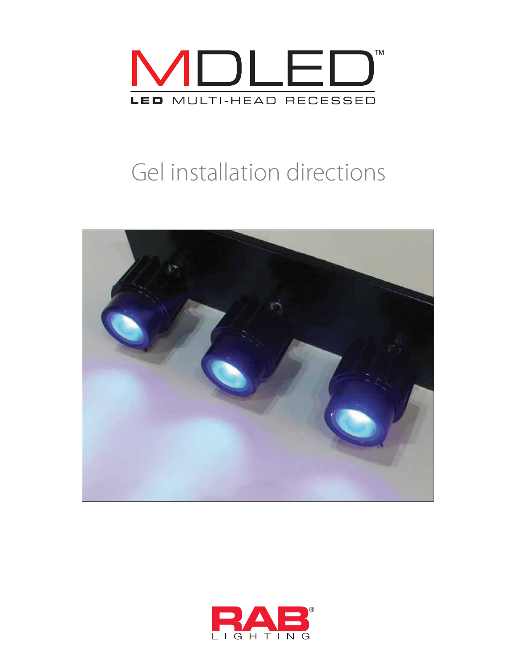

# Gel installation directions



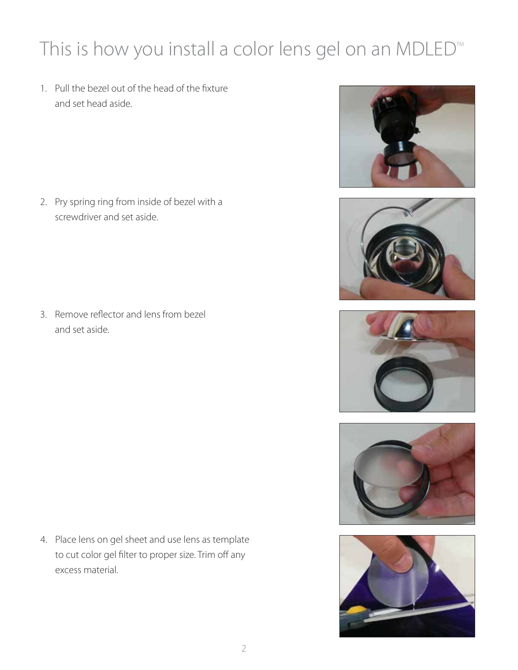# This is how you install a color lens gel on an MDLED<sup>™</sup>

1. Pull the bezel out of the head of the fixture and set head aside.

2. Pry spring ring from inside of bezel with a screwdriver and set aside.

3. Remove reflector and lens from bezel and set aside.

4. Place lens on gel sheet and use lens as template to cut color gel filter to proper size. Trim off any excess material.









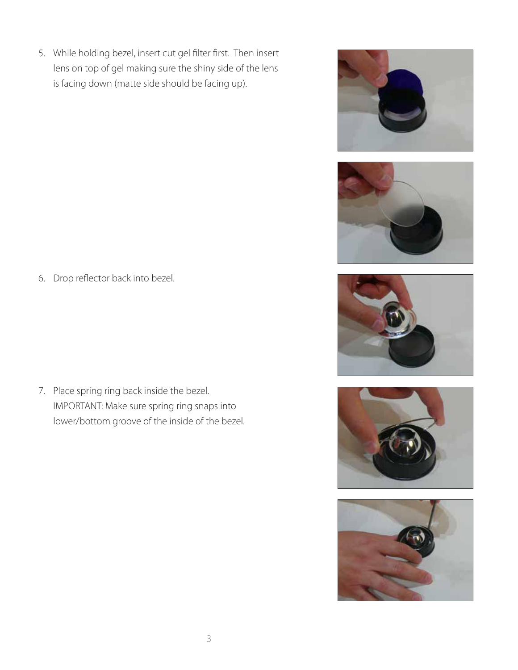5. While holding bezel, insert cut gel filter first. Then insert lens on top of gel making sure the shiny side of the lens is facing down (matte side should be facing up).











6. Drop reflector back into bezel.

7. Place spring ring back inside the bezel. IMPORTANT: Make sure spring ring snaps into lower/bottom groove of the inside of the bezel.